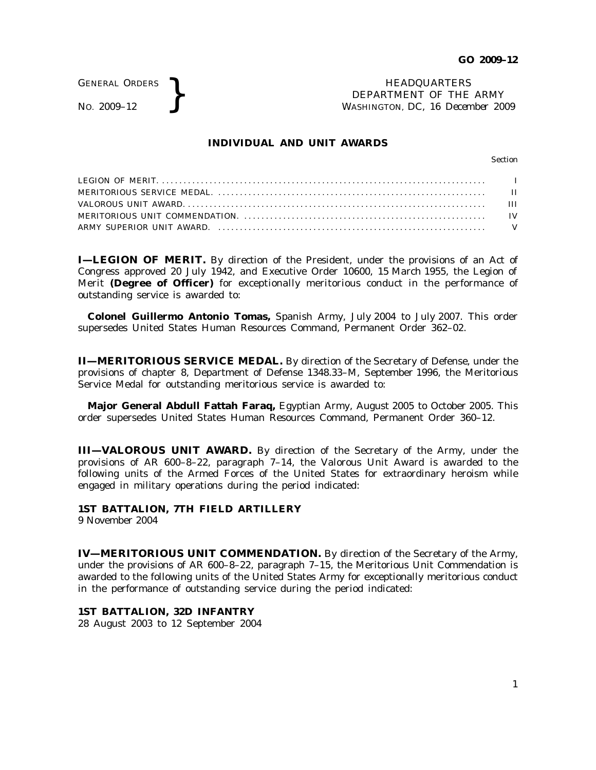GENERAL ORDERS

GENERAL ORDERS **REAL ORDERS** HEADQUARTERS **HEADQUARTERS HEADQUARTERS HEADQUARTERS DEPARTMENT** OF THE **WASHINGTON**, DC, 16 Decem DEPARTMENT OF THE ARMY WASHINGTON, DC, *16 December 2009*

### **INDIVIDUAL AND UNIT AWARDS**

Section

**I—LEGION OF MERIT.** By direction of the President, under the provisions of an Act of Congress approved 20 July 1942, and Executive Order 10600, 15 March 1955, the Legion of Merit (Degree of Officer) for exceptionally meritorious conduct in the performance of outstanding service is awarded to:

**Colonel Guillermo Antonio Tomas,** Spanish Army, July 2004 to July 2007. This order supersedes United States Human Resources Command, Permanent Order 362–02.

**II—MERITORIOUS SERVICE MEDAL.** By direction of the Secretary of Defense, under the provisions of chapter 8, Department of Defense 1348.33–M, September 1996, the Meritorious Service Medal for outstanding meritorious service is awarded to:

**Major General Abdull Fattah Faraq,** Egyptian Army, August 2005 to October 2005. This order supersedes United States Human Resources Command, Permanent Order 360–12.

**III—VALOROUS UNIT AWARD.** By direction of the Secretary of the Army, under the provisions of AR  $600-8-22$ , paragraph  $7-14$ , the Valorous Unit Award is awarded to the following units of the Armed Forces of the United States for extraordinary heroism while engaged in military operations during the period indicated:

**1ST BATTALION, 7TH FIELD ARTILLERY**

9 November 2004

**IV—MERITORIOUS UNIT COMMENDATION.** By direction of the Secretary of the Army, under the provisions of AR 600–8–22, paragraph 7–15, the Meritorious Unit Commendation is awarded to the following units of the United States Army for exceptionally meritorious conduct in the performance of outstanding service during the period indicated:

## **1ST BATTALION, 32D INFANTRY**

28 August 2003 to 12 September 2004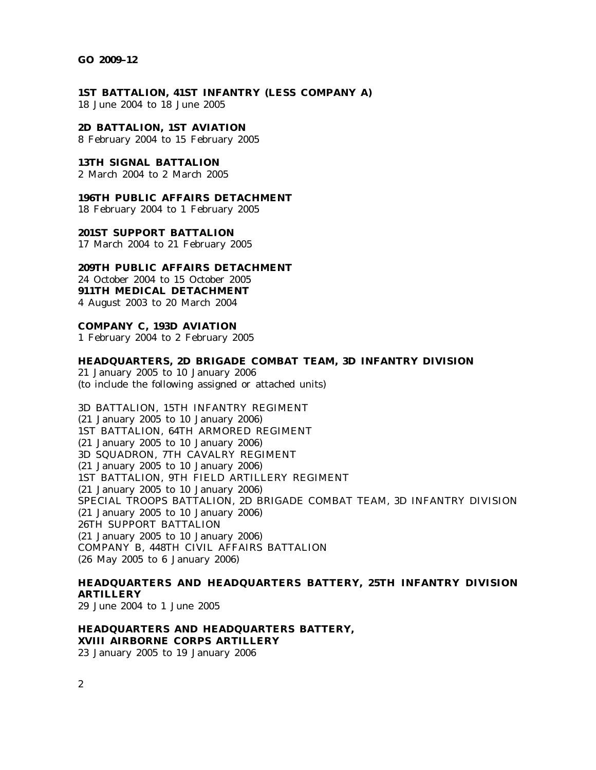#### **GO 2009–12**

**1ST BATTALION, 41ST INFANTRY (LESS COMPANY A)** 18 June 2004 to 18 June 2005

**2D BATTALION, 1ST AVIATION** 8 February 2004 to 15 February 2005

**13TH SIGNAL BATTALION** 2 March 2004 to 2 March 2005

**196TH PUBLIC AFFAIRS DETACHMENT** 18 February 2004 to 1 February 2005

**201ST SUPPORT BATTALION** 17 March 2004 to 21 February 2005

# **209TH PUBLIC AFFAIRS DETACHMENT**

24 October 2004 to 15 October 2005 **911TH MEDICAL DETACHMENT** 4 August 2003 to 20 March 2004

**COMPANY C, 193D AVIATION**

1 February 2004 to 2 February 2005

### **HEADQUARTERS, 2D BRIGADE COMBAT TEAM, 3D INFANTRY DIVISION**

21 January 2005 to 10 January 2006 (to include the following assigned or attached units)

3D BATTALION, 15TH INFANTRY REGIMENT (21 January 2005 to 10 January 2006) 1ST BATTALION, 64TH ARMORED REGIMENT (21 January 2005 to 10 January 2006) 3D SQUADRON, 7TH CAVALRY REGIMENT (21 January 2005 to 10 January 2006) 1ST BATTALION, 9TH FIELD ARTILLERY REGIMENT (21 January 2005 to 10 January 2006) SPECIAL TROOPS BATTALION, 2D BRIGADE COMBAT TEAM, 3D INFANTRY DIVISION (21 January 2005 to 10 January 2006) 26TH SUPPORT BATTALION (21 January 2005 to 10 January 2006) COMPANY B, 448TH CIVIL AFFAIRS BATTALION (26 May 2005 to 6 January 2006)

**HEADQUARTERS AND HEADQUARTERS BATTERY, 25TH INFANTRY DIVISION ARTILLERY**

29 June 2004 to 1 June 2005

**HEADQUARTERS AND HEADQUARTERS BATTERY, XVIII AIRBORNE CORPS ARTILLERY** 23 January 2005 to 19 January 2006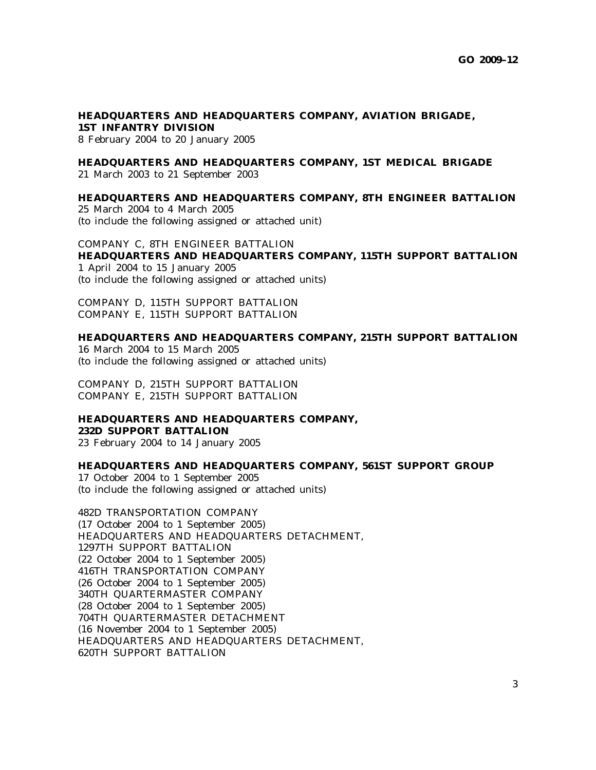#### **HEADQUARTERS AND HEADQUARTERS COMPANY, AVIATION BRIGADE, 1ST INFANTRY DIVISION**

8 February 2004 to 20 January 2005

## **HEADQUARTERS AND HEADQUARTERS COMPANY, 1ST MEDICAL BRIGADE**

21 March 2003 to 21 September 2003

### **HEADQUARTERS AND HEADQUARTERS COMPANY, 8TH ENGINEER BATTALION**

25 March 2004 to 4 March 2005 (to include the following assigned or attached unit)

COMPANY C, 8TH ENGINEER BATTALION **HEADQUARTERS AND HEADQUARTERS COMPANY, 115TH SUPPORT BATTALION** 1 April 2004 to 15 January 2005

(to include the following assigned or attached units)

COMPANY D, 115TH SUPPORT BATTALION COMPANY E, 115TH SUPPORT BATTALION

### **HEADQUARTERS AND HEADQUARTERS COMPANY, 215TH SUPPORT BATTALION**

16 March 2004 to 15 March 2005 (to include the following assigned or attached units)

COMPANY D, 215TH SUPPORT BATTALION COMPANY E, 215TH SUPPORT BATTALION

#### **HEADQUARTERS AND HEADQUARTERS COMPANY, 232D SUPPORT BATTALION**

23 February 2004 to 14 January 2005

## **HEADQUARTERS AND HEADQUARTERS COMPANY, 561ST SUPPORT GROUP**

17 October 2004 to 1 September 2005 (to include the following assigned or attached units)

482D TRANSPORTATION COMPANY (17 October 2004 to 1 September 2005) HEADQUARTERS AND HEADQUARTERS DETACHMENT, 1297TH SUPPORT BATTALION (22 October 2004 to 1 September 2005) 416TH TRANSPORTATION COMPANY (26 October 2004 to 1 September 2005) 340TH QUARTERMASTER COMPANY (28 October 2004 to 1 September 2005) 704TH QUARTERMASTER DETACHMENT (16 November 2004 to 1 September 2005) HEADQUARTERS AND HEADQUARTERS DETACHMENT, 620TH SUPPORT BATTALION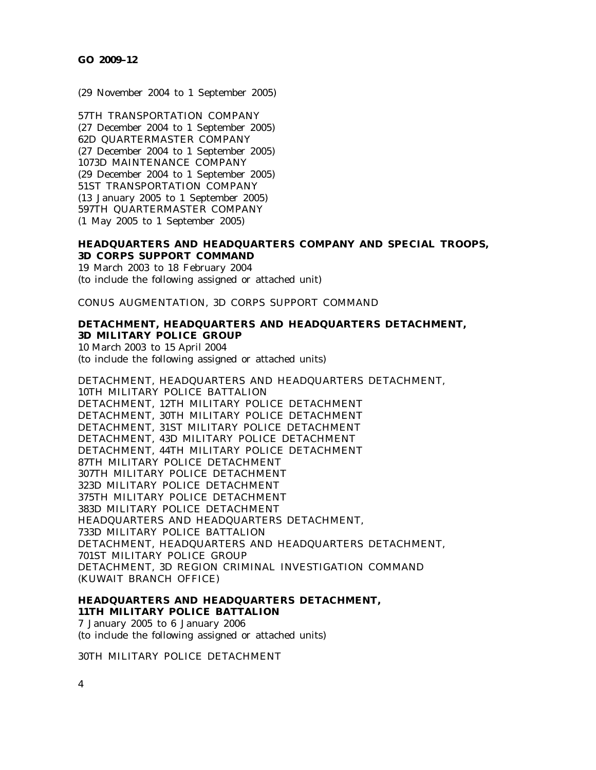(29 November 2004 to 1 September 2005)

57TH TRANSPORTATION COMPANY (27 December 2004 to 1 September 2005) 62D QUARTERMASTER COMPANY (27 December 2004 to 1 September 2005) 1073D MAINTENANCE COMPANY (29 December 2004 to 1 September 2005) 51ST TRANSPORTATION COMPANY (13 January 2005 to 1 September 2005) 597TH QUARTERMASTER COMPANY (1 May 2005 to 1 September 2005)

## **HEADQUARTERS AND HEADQUARTERS COMPANY AND SPECIAL TROOPS, 3D CORPS SUPPORT COMMAND**

19 March 2003 to 18 February 2004 (to include the following assigned or attached unit)

CONUS AUGMENTATION, 3D CORPS SUPPORT COMMAND

# **DETACHMENT, HEADQUARTERS AND HEADQUARTERS DETACHMENT, 3D MILITARY POLICE GROUP**

10 March 2003 to 15 April 2004 (to include the following assigned or attached units)

DETACHMENT, HEADQUARTERS AND HEADQUARTERS DETACHMENT, 10TH MILITARY POLICE BATTALION DETACHMENT, 12TH MILITARY POLICE DETACHMENT DETACHMENT, 30TH MILITARY POLICE DETACHMENT DETACHMENT, 31ST MILITARY POLICE DETACHMENT DETACHMENT, 43D MILITARY POLICE DETACHMENT DETACHMENT, 44TH MILITARY POLICE DETACHMENT 87TH MILITARY POLICE DETACHMENT 307TH MILITARY POLICE DETACHMENT 323D MILITARY POLICE DETACHMENT 375TH MILITARY POLICE DETACHMENT 383D MILITARY POLICE DETACHMENT HEADQUARTERS AND HEADQUARTERS DETACHMENT, 733D MILITARY POLICE BATTALION DETACHMENT, HEADQUARTERS AND HEADQUARTERS DETACHMENT, 701ST MILITARY POLICE GROUP DETACHMENT, 3D REGION CRIMINAL INVESTIGATION COMMAND (KUWAIT BRANCH OFFICE)

# **HEADQUARTERS AND HEADQUARTERS DETACHMENT, 11TH MILITARY POLICE BATTALION**

7 January 2005 to 6 January 2006 (to include the following assigned or attached units)

30TH MILITARY POLICE DETACHMENT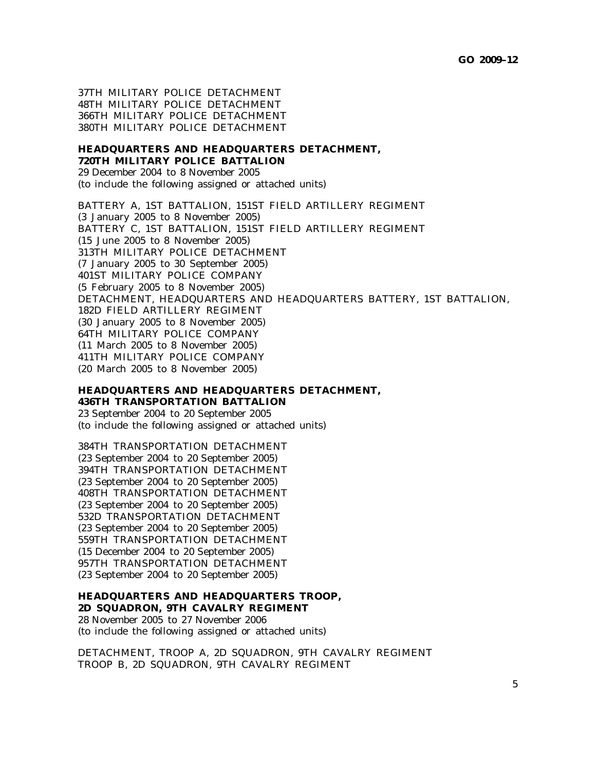37TH MILITARY POLICE DETACHMENT 48TH MILITARY POLICE DETACHMENT 366TH MILITARY POLICE DETACHMENT 380TH MILITARY POLICE DETACHMENT

#### **HEADQUARTERS AND HEADQUARTERS DETACHMENT, 720TH MILITARY POLICE BATTALION**

29 December 2004 to 8 November 2005 (to include the following assigned or attached units)

BATTERY A, 1ST BATTALION, 151ST FIELD ARTILLERY REGIMENT (3 January 2005 to 8 November 2005) BATTERY C, 1ST BATTALION, 151ST FIELD ARTILLERY REGIMENT (15 June 2005 to 8 November 2005) 313TH MILITARY POLICE DETACHMENT (7 January 2005 to 30 September 2005) 401ST MILITARY POLICE COMPANY (5 February 2005 to 8 November 2005) DETACHMENT, HEADQUARTERS AND HEADQUARTERS BATTERY, 1ST BATTALION, 182D FIELD ARTILLERY REGIMENT (30 January 2005 to 8 November 2005) 64TH MILITARY POLICE COMPANY (11 March 2005 to 8 November 2005) 411TH MILITARY POLICE COMPANY (20 March 2005 to 8 November 2005)

**HEADQUARTERS AND HEADQUARTERS DETACHMENT, 436TH TRANSPORTATION BATTALION** 23 September 2004 to 20 September 2005

(to include the following assigned or attached units)

384TH TRANSPORTATION DETACHMENT (23 September 2004 to 20 September 2005) 394TH TRANSPORTATION DETACHMENT (23 September 2004 to 20 September 2005) 408TH TRANSPORTATION DETACHMENT (23 September 2004 to 20 September 2005) 532D TRANSPORTATION DETACHMENT (23 September 2004 to 20 September 2005) 559TH TRANSPORTATION DETACHMENT (15 December 2004 to 20 September 2005) 957TH TRANSPORTATION DETACHMENT (23 September 2004 to 20 September 2005)

# **HEADQUARTERS AND HEADQUARTERS TROOP,**

**2D SQUADRON, 9TH CAVALRY REGIMENT** 28 November 2005 to 27 November 2006 (to include the following assigned or attached units)

DETACHMENT, TROOP A, 2D SQUADRON, 9TH CAVALRY REGIMENT TROOP B, 2D SQUADRON, 9TH CAVALRY REGIMENT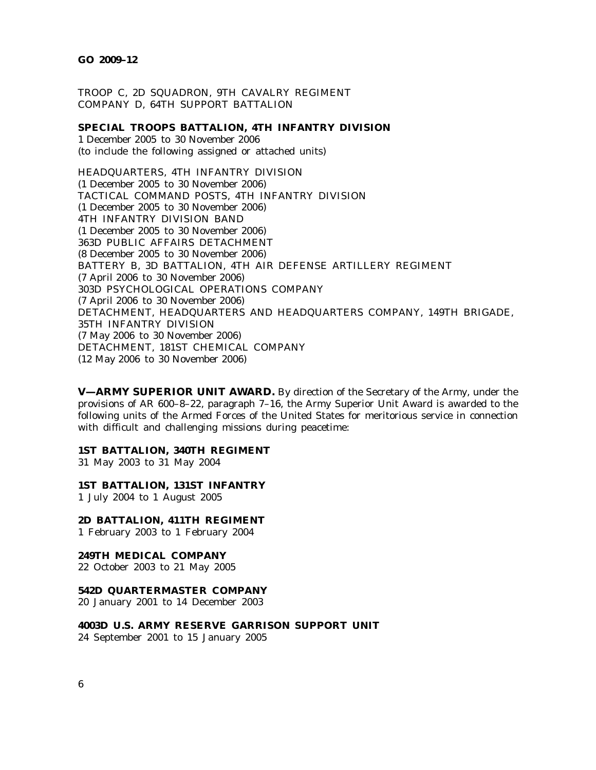TROOP C, 2D SQUADRON, 9TH CAVALRY REGIMENT COMPANY D, 64TH SUPPORT BATTALION

**SPECIAL TROOPS BATTALION, 4TH INFANTRY DIVISION** 1 December 2005 to 30 November 2006 (to include the following assigned or attached units)

HEADQUARTERS, 4TH INFANTRY DIVISION (1 December 2005 to 30 November 2006) TACTICAL COMMAND POSTS, 4TH INFANTRY DIVISION (1 December 2005 to 30 November 2006) 4TH INFANTRY DIVISION BAND (1 December 2005 to 30 November 2006) 363D PUBLIC AFFAIRS DETACHMENT (8 December 2005 to 30 November 2006) BATTERY B, 3D BATTALION, 4TH AIR DEFENSE ARTILLERY REGIMENT (7 April 2006 to 30 November 2006) 303D PSYCHOLOGICAL OPERATIONS COMPANY (7 April 2006 to 30 November 2006) DETACHMENT, HEADQUARTERS AND HEADQUARTERS COMPANY, 149TH BRIGADE, 35TH INFANTRY DIVISION (7 May 2006 to 30 November 2006) DETACHMENT, 181ST CHEMICAL COMPANY (12 May 2006 to 30 November 2006)

**V—ARMY SUPERIOR UNIT AWARD.** By direction of the Secretary of the Army, under the provisions of AR 600–8–22, paragraph 7–16, the Army Superior Unit Award is awarded to the following units of the Armed Forces of the United States for meritorious service in connection with difficult and challenging missions during peacetime:

#### **1ST BATTALION, 340TH REGIMENT**

31 May 2003 to 31 May 2004

**1ST BATTALION, 131ST INFANTRY**

1 July 2004 to 1 August 2005

**2D BATTALION, 411TH REGIMENT** 1 February 2003 to 1 February 2004

**249TH MEDICAL COMPANY**

22 October 2003 to 21 May 2005

#### **542D QUARTERMASTER COMPANY**

20 January 2001 to 14 December 2003

**4003D U.S. ARMY RESERVE GARRISON SUPPORT UNIT**

24 September 2001 to 15 January 2005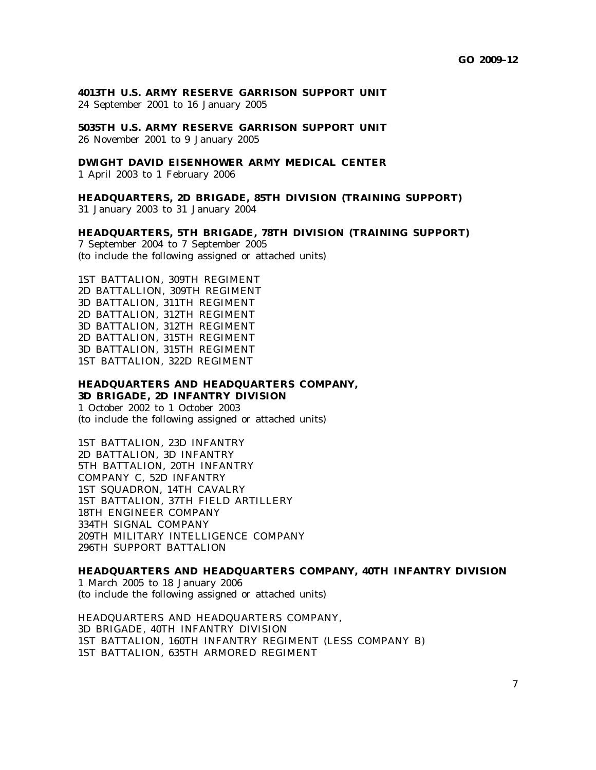#### **4013TH U.S. ARMY RESERVE GARRISON SUPPORT UNIT**

24 September 2001 to 16 January 2005

## **5035TH U.S. ARMY RESERVE GARRISON SUPPORT UNIT** 26 November 2001 to 9 January 2005

#### **DWIGHT DAVID EISENHOWER ARMY MEDICAL CENTER**

1 April 2003 to 1 February 2006

# **HEADQUARTERS, 2D BRIGADE, 85TH DIVISION (TRAINING SUPPORT)**

31 January 2003 to 31 January 2004

#### **HEADQUARTERS, 5TH BRIGADE, 78TH DIVISION (TRAINING SUPPORT)**

7 September 2004 to 7 September 2005 (to include the following assigned or attached units)

1ST BATTALION, 309TH REGIMENT 2D BATTALLION, 309TH REGIMENT 3D BATTALION, 311TH REGIMENT 2D BATTALION, 312TH REGIMENT 3D BATTALION, 312TH REGIMENT 2D BATTALION, 315TH REGIMENT 3D BATTALION, 315TH REGIMENT 1ST BATTALION, 322D REGIMENT

# **HEADQUARTERS AND HEADQUARTERS COMPANY, 3D BRIGADE, 2D INFANTRY DIVISION**

1 October 2002 to 1 October 2003 (to include the following assigned or attached units)

1ST BATTALION, 23D INFANTRY 2D BATTALION, 3D INFANTRY 5TH BATTALION, 20TH INFANTRY COMPANY C, 52D INFANTRY 1ST SQUADRON, 14TH CAVALRY 1ST BATTALION, 37TH FIELD ARTILLERY 18TH ENGINEER COMPANY 334TH SIGNAL COMPANY 209TH MILITARY INTELLIGENCE COMPANY 296TH SUPPORT BATTALION

#### **HEADQUARTERS AND HEADQUARTERS COMPANY, 40TH INFANTRY DIVISION**

1 March 2005 to 18 January 2006 (to include the following assigned or attached units)

HEADQUARTERS AND HEADQUARTERS COMPANY, 3D BRIGADE, 40TH INFANTRY DIVISION 1ST BATTALION, 160TH INFANTRY REGIMENT (LESS COMPANY B) 1ST BATTALION, 635TH ARMORED REGIMENT